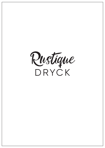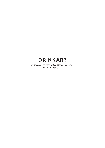## **DRINKAR?**

*Prata med vår personal så blandar de ihop det du är sugen på!*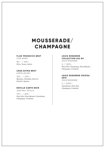# **MOUSSERADE/ CHAMPAGNE**

### **P.LEX PROSECCO BRUT**

ICON WINES

99:- / 499:- *Glera. Veneto, Italien*

### **CAVA EXTRA BRUT**

CASTELLBLANC

109:- / 599:- *Macabeo, Parellada, Xarel-lo. Penedés, Spanien*

### **DEVILLE CARTE NOIR**

JEAN PAUL DEVILLE

139:- / 699:- *Pinot Noir, Pinot Meunier, Chardonnay Champagne, Frankrike*

### **LOUIS ROEDERER COLLECTION 242 NV** LOUIS ROEDERER

X / 1299:- *Pinot Noir, Chardonnay, Pinot Meunier Champagne, Frankrike*

### **LOUIS ROEDERER CRISTAL 2013**

LOUIS ROEDERER

X / 2999:- *Chardonnay, Pinot Noir Champagne, Frankrike*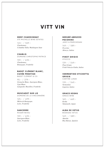## **VITT VIN**

### **MERF CHARDONNAY**

STE MICHELLE WINE ESTATES

145:- / 569:- *Chardonnay. Columbia Valley Washington State*

### **CHABLIS** DOMAINE CHRISTOPHE PATRICE

159:- / 635:- *Chardonnay. Bourgogne, Frankrike*

### **BADET CLÉMENT BLANC, C U V É E P R E ST I G E**

BADET CLÉMENT & CO

95:- / 379:- *Grenache Blanc, Sauvignon Blanc, Ugni Blanc. Languedoc-Russillon, Frankrike*

### **MUSCADET SUR LIE**

DOMAINE DE LA VINCONNIÉRE

125:- / 499:- *Melon de Bourgogne. Loire, Frankrike*

### **SANCERRE**

ROGER NEVEU

159:- / 635:- *Sauvignon Blanc. Loire, Frankrike*

### **N E R U B É A B R U Z ZO P E CO R I N O**

JASCI & MARCHESANI

149:- / 589:- *Pecorino Abruzzo, Italien*

### **PINOT GRIGIO**

STOCCO

139:- / 549:- *Pinot Grigio Friuli-Venezia Giulia, Italien*

### **VERMENTINO ETICHETTA GRIGIA**

CANTINE LUNAE

139:- / 549:- *Vermentino Ligurien, Italien*

### **GRACE KOSHU**

GRACE WINE

169:- / 669:- *Koshu Yamanashi, Japan*

### **ALBA DE VETUS**

BODEGAS VETUS

149:- / 589:- *Abariño Rias Baixas, Spanien*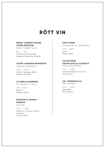# **RÖTT VIN**

### **BADET CLÉMENT ROUGE CUVÉE PRESTIGE**

BADET CLÉMENT & CO

95:- / 375:- *Grenache, Syrah, Carignan. Languedoc-Roussillon, Frankrike*

### **CUVÉE LUGRANA BORDEAUX**

CHÂTEAU ROUQUETTE

139:- / 549:- *Cabernet Sauvignon, Merlot Bordeaux, Frankrike*

### **LA FAMILIA BARBERA**

VITICULTORI D´ ITALIA

129:-/509:- *Barbera Piemonte, Italien*

### **RIGOGOLO CHIANTI RISERVA**

NETTUNO

139:- / 549:- *Sangiovese, Canaiolo, Cabernet Sauvignon Toscana, Italien*

### **KAID SYRAH**

ALESSANDRO DI CAMPOREALE 169:- /659:- *Syrah*

*Sicilien, Italien*

### S A LVATERRA **VALPOLICELLA CLASSICO**

TENUTE SALVATERRA

149:- / 595:- *Corvina, Rondinella, Corvinone Veneto, Italien*

### **VA! TEMPRANILLO**

REAL AGRADO

143:- / 569:- *Tempranillo Rioja, Spanien*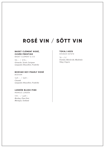# **ROSÉ VIN / SÖTT VIN**

### **BADET CLÉMENT ROSÉ, CUVÉE PRESTIGE**

BADET CLÉMENT & CO

95:- / 375:- *Grenache, Syrah, Carignan Languedoc-Roussillon, Frankrike*

### **BODVAR NO1 PEARLY ROSÈ** BODVAR

149:- / 569:- *Cinsault Languedoc-Roussillon, Frankrike*

### **LUNDÈN BLUSH PINK**

MARKUS LUNDÉN

119:- / 469:- *Riesling, Pinot Noir Rheingau, Tyskland*

### **TOKAJ ASZU**

KÖVÁGÓ ESTATE

 $16:-/c$ *Furmint, Hárslevelü, Muskótaly Tokaj, Ungern*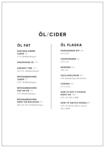# **ÖL/CIDER**

## **ÖL FAT**

**RUSTIQUE AMBER LAGER** 72:- *4,7 %, Skellefteå Bryggeri* 

### **SÄSONGENS ÖL** 79:-

**HARVEST TIME** 79:- *Ale 5,3%, Skellefteå Bryggeri*

**BRYGGARBACKENS LAGER** 72:- *5,0%, Skellefteå Bryggeri*

**BRYGGARBACKENS HOP ON IPA** 75:- *6,2%, Skellefteå Bryggeri*

**BRYGGARBACKENS DROP THE BOLLOCKS** 79:- *Bitter Ale 4,5%, Skellefteå Bryggeri*

## **ÖL FLASKA**

**HOEGAARDEN WIT** 69:- *4,9 %, 33cl*

**STAROPRAMEN** 75:- *5,0 %, 33cl*

**HEINEKEN** 69:- *5,0%, 33cl*

**CELIA EKOLOGISK** 69:- *4,5%, Glutenfri lager från Tjeckien.*

**CORONA** 69:- *4,5 %, 35,5cl*

**HOW TO GET IT FOGGIN RIGHT IPA** 89:- *6,5%, 33cl, This is HOW*

**HOW TO SWITCH MODES** 89:- *4,5%, 33cl, Berline Weisse, tropical. This is HOW*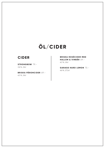# **ÖL/CIDER**

## **CIDER**

**STRONGBOW** 79:- *5,0 %, 33cl*

**BRISKA PÄRONCIDER** 69:- *4,5 %, 33cl*

**BRISKA ROSÉCIDER MED HALLON & VINBÄR** 69:- *4,5 %, 33cl*

**GARAGE HARD LEMON** 75:- *4,0 %, 27,5cl*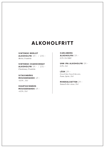# **ALKOHOLFRITT**

### **VINTENSE MERLOT**

**ALKOHOLFRI** 59:- / 235:- *Merlot, Frankrike*

**VINTENSE CHARDONNAY ALKOHOLFRI** 59:- / 235:- *Chardonnay, Frankrike*

**V I TAV I N B Ä R S MOUSSERANDE** 49:- *<0,5% , 33cl*

**SVARTAVINBÄRS MOUSSERANDE** 49:- *<0,5%, 33cl*

### **C A R L S B E R G**

**ALKOHOLFRI** 59:- *0,5% 33cl EKO*

**UNN IPA ALKOHOLFRI** 59:- *0,5%, 33cl*

**LÄSK** 29:- *Coca-Cola, Coca-Cola zero, Fanta, Sprite, 33cl*

**MINERALVATTEN** 29:- *Naturell eller citron, 33cl*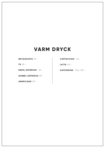# **VARM DRYCK**

**BRYGGKAFFE** 29:-

**T E** 29:-

**ENKEL ESPRESSO** 35:-

**DUBBEL ESPRESSO** 39:-

**AMERICANO** 39:-

**CAPPUCCINO** 43:-

**LATTE** 45:-

**KAFFEDRINK** från 125:-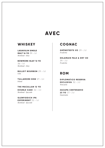# **AVEC**

### **WHISKEY**

**LAGAVULIN SINGLE MALT 16 YO** 39:-/cl *Skottland - Islay*

**BOWMORE ISLAY 12 YO** 36:-/cl *Skottland - Islay*

**BULLEIT BOURBON** 29:-/cl *USA*

**TULLAMORE DEW** 27:-/cl *Irland*

**THE MACALLAN 12 YO** 

**DOUBLE CASK** 32:-/cl *Skottland - Speyside*

**GLENFIDDICH IPA EXPERIMENT** 32:-/cl *Skottland - Speyside*

## **COGNAC**

**GRÖNSTEDTS VO** 29:-/cl *Frankrike*

**DELAMAIN PALE & DRY XO**  $39:-/c$ *Frankrike*

### **ROM**

**DIPLOMATICO RESERVA EXCLUSIVA** 32:-/cl *Venezuela*

**ZACAPA CENTENARIO 23 YO** 37:-/cl *Guatemala*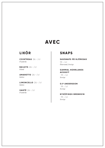## **AVEC**

## **LIKÖR**

**COINTREAU** 26:-/cl *Frankrike*

**BAILEYS** 26:-/cl *Irland*

**AMARETTO** 26:-/cl *Italien*

**LIMONCELLO** 26:-/cl *Italien*

**XANTÉ** 26:-/cl *Frankrike* 

### **SNAPS**

### **SAVSNAPS PÅ BJÖRKSAV**

 $19:-/c$ *Östersund, Sverige*

### **GAMMAL NORRLANDS AKVAVIT**

19:-/cl *Sverige*

**O.P ANDERSSON**  $19:-/c$ 

*Sverige*

### **NYKÖPINGS BRÄNNVIN** 19:-/cl

*Sverige*